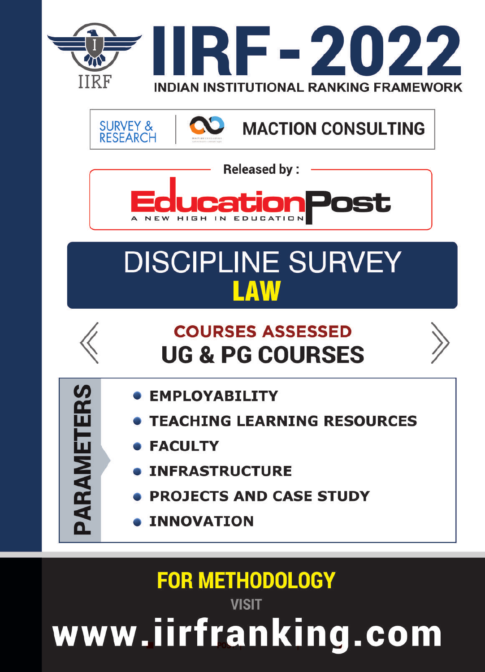

**SURVEY & MACTION CONSULTING RESEARCH** 



# **DISCIPLINE SURVEY** LAW



- **EMPLOYABILITY**
- **TEACHING LEARNING RESOURCES**
- **FACULTY**

PARAMETERS

- **INFRASTRUCTURE**
- **PROJECTS AND CASE STUDY**
- **INNOVATION**

**FOR METHODOLOGY VISIT** www.iirfranking.com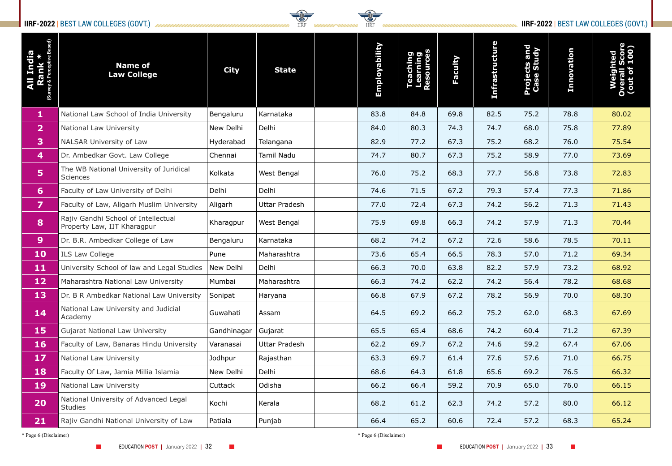### **IIRF-2022** | BEST LAW COLLEGES (GOVT.) *MMMMMMMMMMMMMMMMMMMMMMMMMMMM* IIRF *MMMMW* NINSING IIRF NONDERWINDING IIRF-2022 | BEST LAW COLLEGES (GOVT.)



| Đ,<br>India<br>ank *<br>(Survey | <b>Name of</b><br><b>Law College</b>                               | <b>City</b> | <b>State</b>         | Employability | aching<br>arhing<br>arning<br>aurces<br><b>SOUIT</b> | Faculty | <b>Infrastructure</b> | <b>Projects and<br/>Case Study</b> | Innovation | Weighted<br>Overall Score<br>(out of 100) |
|---------------------------------|--------------------------------------------------------------------|-------------|----------------------|---------------|------------------------------------------------------|---------|-----------------------|------------------------------------|------------|-------------------------------------------|
| $\mathbf{1}$                    | National Law School of India University                            | Bengaluru   | Karnataka            | 83.8          | 84.8                                                 | 69.8    | 82.5                  | 75.2                               | 78.8       | 80.02                                     |
| $\mathbf{2}$                    | <b>National Law University</b>                                     | New Delhi   | Delhi                | 84.0          | 80.3                                                 | 74.3    | 74.7                  | 68.0                               | 75.8       | 77.89                                     |
| $\mathbf{3}$                    | NALSAR University of Law                                           | Hyderabad   | Telangana            | 82.9          | 77.2                                                 | 67.3    | 75.2                  | 68.2                               | 76.0       | 75.54                                     |
| $\overline{4}$                  | Dr. Ambedkar Govt. Law College                                     | Chennai     | <b>Tamil Nadu</b>    | 74.7          | 80.7                                                 | 67.3    | 75.2                  | 58.9                               | 77.0       | 73.69                                     |
| 5 <sub>5</sub>                  | The WB National University of Juridical<br><b>Sciences</b>         | Kolkata     | West Bengal          | 76.0          | 75.2                                                 | 68.3    | 77.7                  | 56.8                               | 73.8       | 72.83                                     |
| 6 <sup>1</sup>                  | Faculty of Law University of Delhi                                 | Delhi       | Delhi                | 74.6          | 71.5                                                 | 67.2    | 79.3                  | 57.4                               | 77.3       | 71.86                                     |
| $\overline{7}$                  | Faculty of Law, Aligarh Muslim University                          | Aligarh     | <b>Uttar Pradesh</b> | 77.0          | 72.4                                                 | 67.3    | 74.2                  | 56.2                               | 71.3       | 71.43                                     |
| 8                               | Rajiv Gandhi School of Intellectual<br>Property Law, IIT Kharagpur | Kharagpur   | West Bengal          | 75.9          | 69.8                                                 | 66.3    | 74.2                  | 57.9                               | 71.3       | 70.44                                     |
| 9 <sup>°</sup>                  | Dr. B.R. Ambedkar College of Law                                   | Bengaluru   | Karnataka            | 68.2          | 74.2                                                 | 67.2    | 72.6                  | 58.6                               | 78.5       | 70.11                                     |
| <b>10</b>                       | <b>ILS Law College</b>                                             | Pune        | Maharashtra          | 73.6          | 65.4                                                 | 66.5    | 78.3                  | 57.0                               | 71.2       | 69.34                                     |
| <b>11</b>                       | University School of law and Legal Studies                         | New Delhi   | Delhi                | 66.3          | 70.0                                                 | 63.8    | 82.2                  | 57.9                               | 73.2       | 68.92                                     |
| <b>12</b>                       | Maharashtra National Law University                                | Mumbai      | Maharashtra          | 66.3          | 74.2                                                 | 62.2    | 74.2                  | 56.4                               | 78.2       | 68.68                                     |
| 13                              | Dr. B R Ambedkar National Law University                           | Sonipat     | Haryana              | 66.8          | 67.9                                                 | 67.2    | 78.2                  | 56.9                               | 70.0       | 68.30                                     |
| 14                              | National Law University and Judicial<br>Academy                    | Guwahati    | Assam                | 64.5          | 69.2                                                 | 66.2    | 75.2                  | 62.0                               | 68.3       | 67.69                                     |
| <b>15</b>                       | <b>Gujarat National Law University</b>                             | Gandhinagar | Gujarat              | 65.5          | 65.4                                                 | 68.6    | 74.2                  | 60.4                               | 71.2       | 67.39                                     |
| <b>16</b>                       | Faculty of Law, Banaras Hindu University                           | Varanasai   | Uttar Pradesh        | 62.2          | 69.7                                                 | 67.2    | 74.6                  | 59.2                               | 67.4       | 67.06                                     |
| <b>17</b>                       | National Law University                                            | Jodhpur     | Rajasthan            | 63.3          | 69.7                                                 | 61.4    | 77.6                  | 57.6                               | 71.0       | 66.75                                     |
| <b>18</b>                       | Faculty Of Law, Jamia Millia Islamia                               | New Delhi   | Delhi                | 68.6          | 64.3                                                 | 61.8    | 65.6                  | 69.2                               | 76.5       | 66.32                                     |
| <b>19</b>                       | National Law University                                            | Cuttack     | Odisha               | 66.2          | 66.4                                                 | 59.2    | 70.9                  | 65.0                               | 76.0       | 66.15                                     |
| 20                              | National University of Advanced Legal<br><b>Studies</b>            | Kochi       | Kerala               | 68.2          | 61.2                                                 | 62.3    | 74.2                  | 57.2                               | 80.0       | 66.12                                     |
| 21                              | Rajiv Gandhi National University of Law                            | Patiala     | Punjab               | 66.4          | 65.2                                                 | 60.6    | 72.4                  | 57.2                               | 68.3       | 65.24                                     |

\* Page 6 (Disclaimer) \* Page 6 (Disclaimer)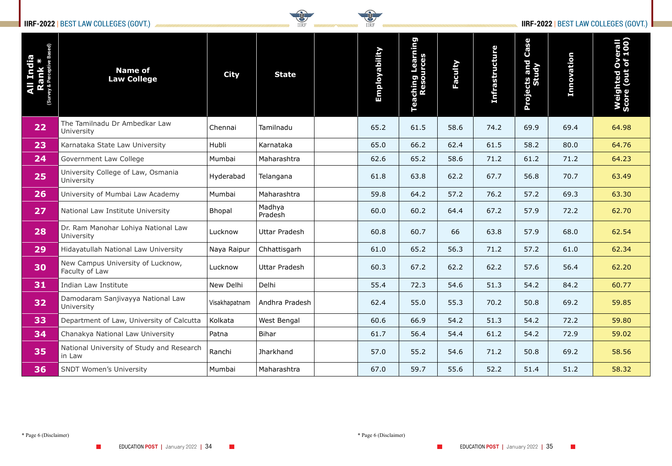### **IIRF-2022** | BEST LAW COLLEGES (GOVT.) *MMMUMUMUMUMUMUMUMUMUMUMUMUMUMUMUM*



| <b>I India<br/>Cank *</b><br>Cerceptive Based)<br>Survey & | <b>Name of</b><br><b>Law College</b>                   | <b>City</b>   | <b>State</b>                   | Employability | Teaching Learning<br>Resources | Faculty | <b>Infrastructure</b> | Case<br>Projects and<br>Study | Innovation | <b>Weighted Overall</b><br>Score (out of 100) |
|------------------------------------------------------------|--------------------------------------------------------|---------------|--------------------------------|---------------|--------------------------------|---------|-----------------------|-------------------------------|------------|-----------------------------------------------|
| 22                                                         | The Tamilnadu Dr Ambedkar Law<br>University            | Chennai       | Tamilnadu                      | 65.2          | 61.5                           | 58.6    | 74.2                  | 69.9                          | 69.4       | 64.98                                         |
| 23                                                         | Karnataka State Law University                         | Hubli         | Karnataka                      | 65.0          | 66.2                           | 62.4    | 61.5                  | 58.2                          | 80.0       | 64.76                                         |
| 24                                                         | Government Law College                                 | Mumbai        | Maharashtra                    | 62.6          | 65.2                           | 58.6    | 71.2                  | 61.2                          | 71.2       | 64.23                                         |
| 25                                                         | University College of Law, Osmania<br>University       | Hyderabad     | Telangana                      | 61.8          | 63.8                           | 62.2    | 67.7                  | 56.8                          | 70.7       | 63.49                                         |
| 26                                                         | University of Mumbai Law Academy                       | Mumbai        | Maharashtra                    | 59.8          | 64.2                           | 57.2    | 76.2                  | 57.2                          | 69.3       | 63.30                                         |
| 27                                                         | National Law Institute University                      | <b>Bhopal</b> | Madhya<br>Pradesh              | 60.0          | 60.2                           | 64.4    | 67.2                  | 57.9                          | 72.2       | 62.70                                         |
| 28                                                         | Dr. Ram Manohar Lohiya National Law<br>University      | Lucknow       | <b>Uttar Pradesh</b>           | 60.8          | 60.7                           | 66      | 63.8                  | 57.9                          | 68.0       | 62.54                                         |
| 29                                                         | Hidayatullah National Law University                   | Naya Raipur   | Chhattisgarh                   | 61.0          | 65.2                           | 56.3    | 71.2                  | 57.2                          | 61.0       | 62.34                                         |
| 30                                                         | New Campus University of Lucknow,<br>Faculty of Law    | Lucknow       | <b>Uttar Pradesh</b>           | 60.3          | 67.2                           | 62.2    | 62.2                  | 57.6                          | 56.4       | 62.20                                         |
| 31                                                         | Indian Law Institute                                   | New Delhi     | Delhi                          | 55.4          | 72.3                           | 54.6    | 51.3                  | 54.2                          | 84.2       | 60.77                                         |
| 32                                                         | Damodaram Sanjivayya National Law<br><b>University</b> |               | Visakhapatnam   Andhra Pradesh | 62.4          | 55.0                           | 55.3    | 70.2                  | 50.8                          | 69.2       | 59.85                                         |
| 33                                                         | Department of Law, University of Calcutta              | Kolkata       | West Bengal                    | 60.6          | 66.9                           | 54.2    | 51.3                  | 54.2                          | 72.2       | 59.80                                         |
| 34                                                         | Chanakya National Law University                       | Patna         | <b>Bihar</b>                   | 61.7          | 56.4                           | 54.4    | 61.2                  | 54.2                          | 72.9       | 59.02                                         |
| 35                                                         | National University of Study and Research<br>in Law    | Ranchi        | Jharkhand                      | 57.0          | 55.2                           | 54.6    | 71.2                  | 50.8                          | 69.2       | 58.56                                         |
| 36                                                         | <b>SNDT Women's University</b>                         | Mumbai        | Maharashtra                    | 67.0          | 59.7                           | 55.6    | 52.2                  | 51.4                          | 51.2       | 58.32                                         |

\* Page 6 (Disclaimer) \* Page 6 (Disclaimer)

 $\mathcal{L}^{\text{max}}$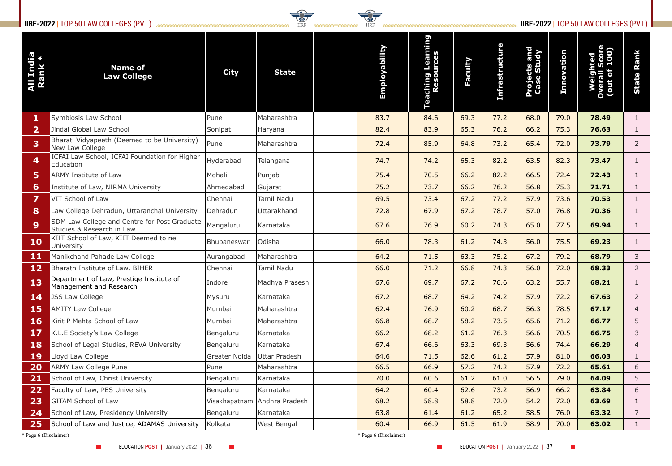# **IIRF-2022** | TOP 50 LAW COLLEGES (PVT.) **IIRF-2022** | TOP 50 LAW COLLEGES (PVT.)



| All India<br>Rank *   | <b>Name of</b><br><b>Law College</b>                                      | <b>City</b>          | <b>State</b>                 | Employability         | Teaching Learning<br>Resources | <b>Faculty</b> | <b>Infrastructure</b> | <b>Projects and<br/>Case Study</b> | Innovation |       | <b>State Rank</b> |
|-----------------------|---------------------------------------------------------------------------|----------------------|------------------------------|-----------------------|--------------------------------|----------------|-----------------------|------------------------------------|------------|-------|-------------------|
|                       | Symbiosis Law School                                                      | Pune                 | Maharashtra                  | 83.7                  | 84.6                           | 69.3           | 77.2                  | 68.0                               | 79.0       | 78.49 |                   |
| $\mathbf{2}$          | Jindal Global Law School                                                  | Sonipat              | Haryana                      | 82.4                  | 83.9                           | 65.3           | 76.2                  | 66.2                               | 75.3       | 76.63 |                   |
| 3                     | Bharati Vidyapeeth (Deemed to be University)<br>New Law College           | Pune                 | Maharashtra                  | 72.4                  | 85.9                           | 64.8           | 73.2                  | 65.4                               | 72.0       | 73.79 | $\overline{2}$    |
| 4                     | ICFAI Law School, ICFAI Foundation for Higher<br>Education                | Hyderabad            | Telangana                    | 74.7                  | 74.2                           | 65.3           | 82.2                  | 63.5                               | 82.3       | 73.47 |                   |
| 5                     | <b>ARMY Institute of Law</b>                                              | Mohali               | Punjab                       | 75.4                  | 70.5                           | 66.2           | 82.2                  | 66.5                               | 72.4       | 72.43 |                   |
| 6                     | Institute of Law, NIRMA University                                        | Ahmedabad            | Gujarat                      | 75.2                  | 73.7                           | 66.2           | 76.2                  | 56.8                               | 75.3       | 71.71 |                   |
|                       | VIT School of Law                                                         | Chennai              | Tamil Nadu                   | 69.5                  | 73.4                           | 67.2           | 77.2                  | 57.9                               | 73.6       | 70.53 |                   |
| 8                     | Law College Dehradun, Uttaranchal University                              | Dehradun             | Uttarakhand                  | 72.8                  | 67.9                           | 67.2           | 78.7                  | 57.0                               | 76.8       | 70.36 |                   |
| 9 <sup>°</sup>        | SDM Law College and Centre for Post Graduate<br>Studies & Research in Law | Mangaluru            | Karnataka                    | 67.6                  | 76.9                           | 60.2           | 74.3                  | 65.0                               | 77.5       | 69.94 |                   |
| <b>10</b>             | KIIT School of Law, KIIT Deemed to ne<br>University                       | Bhubaneswar          | Odisha                       | 66.0                  | 78.3                           | 61.2           | 74.3                  | 56.0                               | 75.5       | 69.23 |                   |
| 11                    | Manikchand Pahade Law College                                             | Aurangabad           | Maharashtra                  | 64.2                  | 71.5                           | 63.3           | 75.2                  | 67.2                               | 79.2       | 68.79 | 3                 |
| 12 <sub>1</sub>       | Bharath Institute of Law, BIHER                                           | Chennai              | Tamil Nadu                   | 66.0                  | 71.2                           | 66.8           | 74.3                  | 56.0                               | 72.0       | 68.33 | $2^{\circ}$       |
| 13                    | Department of Law, Prestige Institute of<br>Management and Research       | Indore               | Madhya Prasesh               | 67.6                  | 69.7                           | 67.2           | 76.6                  | 63.2                               | 55.7       | 68.21 |                   |
| <b>14</b>             | <b>JSS Law College</b>                                                    | Mysuru               | Karnataka                    | 67.2                  | 68.7                           | 64.2           | 74.2                  | 57.9                               | 72.2       | 67.63 | $2^{\circ}$       |
| <b>15</b>             | <b>AMITY Law College</b>                                                  | Mumbai               | Maharashtra                  | 62.4                  | 76.9                           | 60.2           | 68.7                  | 56.3                               | 78.5       | 67.17 | 4                 |
| <b>16</b>             | Kirit P Mehta School of Law                                               | Mumbai               | Maharashtra                  | 66.8                  | 68.7                           | 58.2           | 73.5                  | 65.6                               | 71.2       | 66.77 | 5                 |
| 17                    | K.L.E Society's Law College                                               | Bengaluru            | Karnataka                    | 66.2                  | 68.2                           | 61.2           | 76.3                  | 56.6                               | 70.5       | 66.75 | 3                 |
| <b>18</b>             | School of Legal Studies, REVA University                                  | Bengaluru            | Karnataka                    | 67.4                  | 66.6                           | 63.3           | 69.3                  | 56.6                               | 74.4       | 66.29 | 4                 |
| <b>19</b>             | Lloyd Law College                                                         | <b>Greater Noida</b> | Uttar Pradesh                | 64.6                  | 71.5                           | 62.6           | 61.2                  | 57.9                               | 81.0       | 66.03 | $\mathbf{1}$      |
| 20                    | <b>ARMY Law College Pune</b>                                              | Pune                 | Maharashtra                  | 66.5                  | 66.9                           | 57.2           | 74.2                  | 57.9                               | 72.2       | 65.61 | 6                 |
| 21                    | School of Law, Christ University                                          | Bengaluru            | Karnataka                    | 70.0                  | 60.6                           | 61.2           | 61.0                  | 56.5                               | 79.0       | 64.09 | 5                 |
| 22                    | Faculty of Law, PES University                                            | Bengaluru            | Karnataka                    | 64.2                  | 60.4                           | 62.6           | 73.2                  | 56.9                               | 66.2       | 63.84 | 6                 |
| 23                    | <b>GITAM School of Law</b>                                                |                      | Visakhapatnam Andhra Pradesh | 68.2                  | 58.8                           | 58.8           | 72.0                  | 54.2                               | 72.0       | 63.69 |                   |
| 24                    | School of Law, Presidency University                                      | Bengaluru            | Karnataka                    | 63.8                  | 61.4                           | 61.2           | 65.2                  | 58.5                               | 76.0       | 63.32 | 7 <sup>7</sup>    |
| 25                    | School of Law and Justice, ADAMAS University                              | Kolkata              | West Bengal                  | 60.4                  | 66.9                           | 61.5           | 61.9                  | 58.9                               | 70.0       | 63.02 |                   |
| * Page 6 (Disclaimer) |                                                                           |                      |                              | * Page 6 (Disclaimer) |                                |                |                       |                                    |            |       |                   |